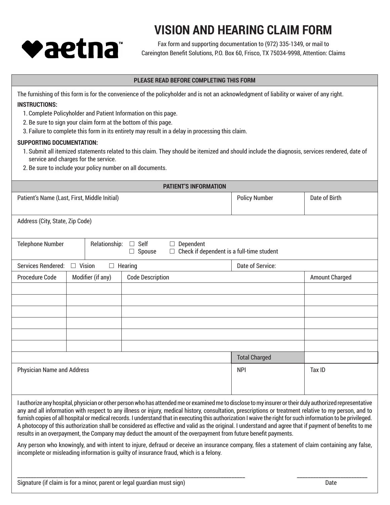

## **VISION AND HEARING CLAIM FORM**

Fax form and supporting documentation to (972) 335-1349, or mail to Careington Benefit Solutions, P.O. Box 60, Frisco, TX 75034-9998, Attention: Claims

## **PLEASE READ BEFORE COMPLETING THIS FORM**

The furnishing of this form is for the convenience of the policyholder and is not an acknowledgment of liability or waiver of any right. **INSTRUCTIONS:**

- 1. Complete Policyholder and Patient Information on this page.
- 2. Be sure to sign your claim form at the bottom of this page.
- 3. Failure to complete this form in its entirety may result in a delay in processing this claim.

## **SUPPORTING DOCUMENTATION:**

- 1. Submit all itemized statements related to this claim. They should be itemized and should include the diagnosis, services rendered, date of service and charges for the service.
- 2. Be sure to include your policy number on all documents.

| <b>PATIENT'S INFORMATION</b>                                                                                                                                 |                                              |                         |                      |                       |
|--------------------------------------------------------------------------------------------------------------------------------------------------------------|----------------------------------------------|-------------------------|----------------------|-----------------------|
|                                                                                                                                                              | Patient's Name (Last, First, Middle Initial) |                         | <b>Policy Number</b> | Date of Birth         |
|                                                                                                                                                              |                                              |                         |                      |                       |
| Address (City, State, Zip Code)                                                                                                                              |                                              |                         |                      |                       |
|                                                                                                                                                              |                                              |                         |                      |                       |
| <b>Telephone Number</b><br>Relationship:<br>Self<br>Dependent<br>$\Box$<br>$\Box$<br>Check if dependent is a full-time student<br>Spouse<br>$\Box$<br>$\Box$ |                                              |                         |                      |                       |
|                                                                                                                                                              |                                              |                         |                      |                       |
| $\Box$ Vision<br>Services Rendered:                                                                                                                          |                                              | $\Box$ Hearing          | Date of Service:     |                       |
| Procedure Code                                                                                                                                               | Modifier (if any)                            | <b>Code Description</b> |                      | <b>Amount Charged</b> |
|                                                                                                                                                              |                                              |                         |                      |                       |
|                                                                                                                                                              |                                              |                         |                      |                       |
|                                                                                                                                                              |                                              |                         |                      |                       |
|                                                                                                                                                              |                                              |                         |                      |                       |
|                                                                                                                                                              |                                              |                         |                      |                       |
|                                                                                                                                                              |                                              |                         |                      |                       |
|                                                                                                                                                              |                                              |                         | <b>Total Charged</b> |                       |
| <b>Physician Name and Address</b>                                                                                                                            |                                              |                         | <b>NPI</b>           | Tax ID                |
|                                                                                                                                                              |                                              |                         |                      |                       |
|                                                                                                                                                              |                                              |                         |                      |                       |

I authorize any hospital, physician or other person who has attended me or examined me to disclose to my insurer or their duly authorized representative any and all information with respect to any illness or injury, medical history, consultation, prescriptions or treatment relative to my person, and to furnish copies of all hospital or medical records. I understand that in executing this authorization I waive the right for such information to be privileged. A photocopy of this authorization shall be considered as effective and valid as the original. I understand and agree that if payment of benefits to me results in an overpayment, the Company may deduct the amount of the overpayment from future benefit payments.

Any person who knowingly, and with intent to injure, defraud or deceive an insurance company, files a statement of claim containing any false, incomplete or misleading information is guilty of insurance fraud, which is a felony.

\_\_\_\_\_\_\_\_\_\_\_\_\_\_\_\_\_\_\_\_\_\_\_\_\_\_\_\_\_\_\_\_\_\_\_\_\_\_\_\_\_\_\_\_\_\_\_\_\_\_\_\_\_\_\_\_\_\_\_\_\_\_\_\_\_\_\_\_\_\_\_\_\_\_\_\_\_\_\_\_\_\_\_\_ \_\_\_\_\_\_\_\_\_\_\_\_\_\_\_\_\_\_\_\_\_\_\_\_\_\_